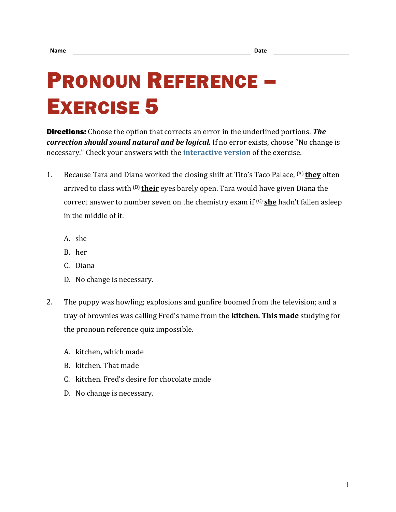## PRONOUN REFERENCE – EXERCISE 5

Directions: Choose the option that corrects an error in the underlined portions. *The correction should sound natural and be logical.* If no error exists, choose "No change is necessary." Check your answers with the **[interactive version](https://chompchomp.com/hotpotatoes/proref05.htm)** of the exercise.

- 1. Because Tara and Diana worked the closing shift at Tito's Taco Palace, (A) **they** often arrived to class with (B) **their** eyes barely open. Tara would have given Diana the correct answer to number seven on the chemistry exam if (C) **she** hadn't fallen asleep in the middle of it.
	- A. she
	- B. her
	- C. Diana
	- D. No change is necessary.
- 2. The puppy was howling; explosions and gunfire boomed from the television; and a tray of brownies was calling Fred's name from the **kitchen. This made** studying for the pronoun reference quiz impossible.
	- A. kitchen**,** which made
	- B. kitchen. That made
	- C. kitchen. Fred's desire for chocolate made
	- D. No change is necessary.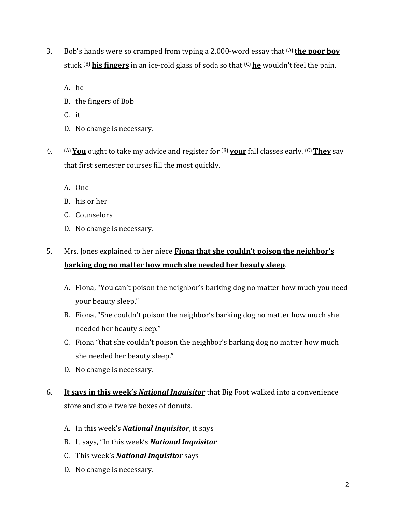- 3. Bob's hands were so cramped from typing a 2,000-word essay that (A) **the poor boy** stuck (B) **his fingers** in an ice-cold glass of soda so that (C) **he** wouldn't feel the pain.
	- A. he
	- B. the fingers of Bob
	- C. it
	- D. No change is necessary.
- 4. (A) **You** ought to take my advice and register for (B) **your** fall classes early. (C)**They** say that first semester courses fill the most quickly.
	- A. One
	- B. his or her
	- C. Counselors
	- D. No change is necessary.

## 5. Mrs. Jones explained to her niece **Fiona that she couldn't poison the neighbor's barking dog no matter how much she needed her beauty sleep**.

- A. Fiona, "You can't poison the neighbor's barking dog no matter how much you need your beauty sleep."
- B. Fiona, "She couldn't poison the neighbor's barking dog no matter how much she needed her beauty sleep."
- C. Fiona "that she couldn't poison the neighbor's barking dog no matter how much she needed her beauty sleep."
- D. No change is necessary.
- 6. **It says in this week's** *National Inquisitor* that Big Foot walked into a convenience store and stole twelve boxes of donuts.
	- A. In this week's *National Inquisitor*, it says
	- B. It says, "In this week's *National Inquisitor*
	- C. This week's *National Inquisitor* says
	- D. No change is necessary.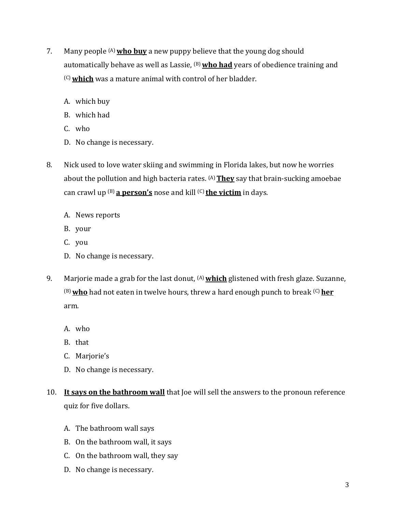- 7. Many people (A)**who buy** a new puppy believe that the young dog should automatically behave as well as Lassie, <sup>(B)</sup> who had years of obedience training and (C)**which** was a mature animal with control of her bladder.
	- A. which buy
	- B. which had
	- C. who
	- D. No change is necessary.
- 8. Nick used to love water skiing and swimming in Florida lakes, but now he worries about the pollution and high bacteria rates. (A)**They** say that brain-sucking amoebae can crawl up (B) **a person's** nose and kill (C) **the victim** in days.
	- A. News reports
	- B. your
	- C. you
	- D. No change is necessary.
- 9. Marjorie made a grab for the last donut, (A)**which** glistened with fresh glaze. Suzanne, (B)**who** had not eaten in twelve hours, threw a hard enough punch to break (C)**her** arm.
	- A. who
	- B. that
	- C. Marjorie's
	- D. No change is necessary.
- 10. **It says on the bathroom wall** that Joe will sell the answers to the pronoun reference quiz for five dollars.
	- A. The bathroom wall says
	- B. On the bathroom wall, it says
	- C. On the bathroom wall, they say
	- D. No change is necessary.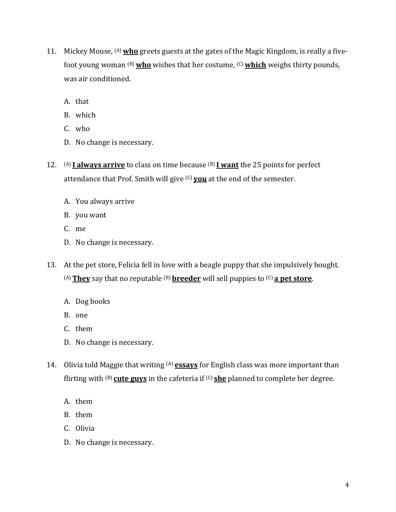- 11. Mickey Mouse, (A)**who** greets guests at the gates of the Magic Kingdom, is really a fivefoot young woman (B)**who** wishes that her costume, (C)**which** weighs thirty pounds, was air conditioned.
	- A. that
	- B. which
	- C. who
	- D. No change is necessary.
- 12. (A) **I always arrive** to class on time because (B) **I want** the 25 points for perfect attendance that Prof. Smith will give (C) **you** at the end of the semester.
	- A. You always arrive
	- B. you want
	- C. me
	- D. No change is necessary.
- 13. At the pet store, Felicia fell in love with a beagle puppy that she impulsively bought. (A)**They** say that no reputable (B) **breeder** will sell puppies to (C) **a pet store**.
	- A. Dog books
	- B. one
	- C. them
	- D. No change is necessary.
- 14. Olivia told Maggie that writing (A) **essays** for English class was more important than flirting with (B) **cute guys** in the cafeteria if (C) **she** planned to complete her degree.
	- A. them
	- B. them
	- C. Olivia
	- D. No change is necessary.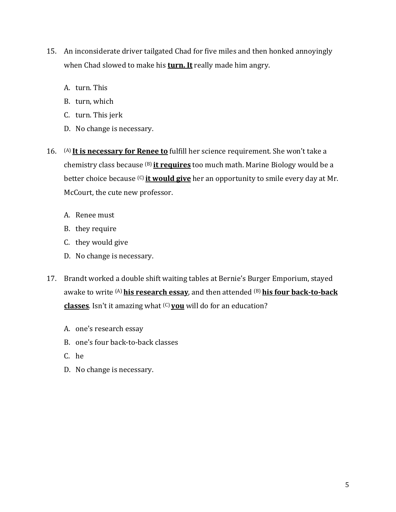- 15. An inconsiderate driver tailgated Chad for five miles and then honked annoyingly when Chad slowed to make his **turn. It** really made him angry.
	- A. turn. This
	- B. turn, which
	- C. turn. This jerk
	- D. No change is necessary.
- 16. (A) **It is necessary for Renee to** fulfill her science requirement. She won't take a chemistry class because (B) **it requires** too much math. Marine Biology would be a better choice because (C) **it would give** her an opportunity to smile every day at Mr. McCourt, the cute new professor.
	- A. Renee must
	- B. they require
	- C. they would give
	- D. No change is necessary.
- 17. Brandt worked a double shift waiting tables at Bernie's Burger Emporium, stayed awake to write (A)**his research essay**, and then attended (B) **his four back-to-back classes**. Isn't it amazing what (C) **you** will do for an education?
	- A. one's research essay
	- B. one's four back-to-back classes
	- C. he
	- D. No change is necessary.